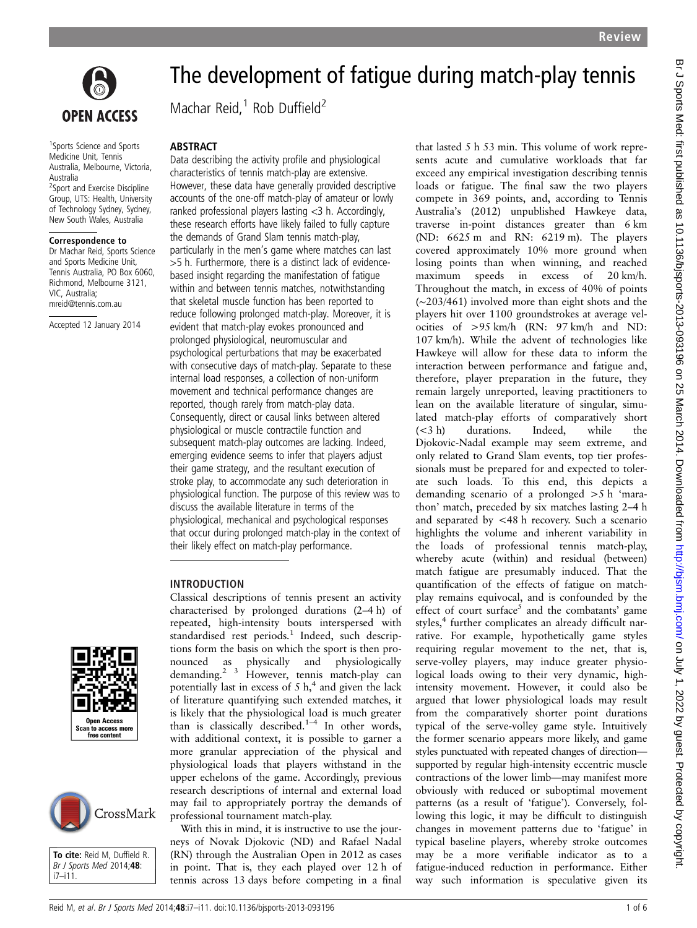

1 Sports Science and Sports Medicine Unit, Tennis Australia, Melbourne, Victoria, Australia <sup>2</sup>Sport and Exercise Discipline Group, UTS: Health, University of Technology Sydney, Sydney, New South Wales, Australia

#### Correspondence to

Dr Machar Reid, Sports Science and Sports Medicine Unit, Tennis Australia, PO Box 6060, Richmond, Melbourne 3121, VIC, Australia; mreid@tennis.com.au

Accepted 12 January 2014

# The development of fatigue during match-play tennis

Machar Reid, $1$  Rob Duffield<sup>2</sup>

### ABSTRACT

Data describing the activity profile and physiological characteristics of tennis match-play are extensive. However, these data have generally provided descriptive accounts of the one-off match-play of amateur or lowly ranked professional players lasting <3 h. Accordingly, these research efforts have likely failed to fully capture the demands of Grand Slam tennis match-play, particularly in the men's game where matches can last >5 h. Furthermore, there is a distinct lack of evidencebased insight regarding the manifestation of fatigue within and between tennis matches, notwithstanding that skeletal muscle function has been reported to reduce following prolonged match-play. Moreover, it is evident that match-play evokes pronounced and prolonged physiological, neuromuscular and psychological perturbations that may be exacerbated with consecutive days of match-play. Separate to these internal load responses, a collection of non-uniform movement and technical performance changes are reported, though rarely from match-play data. Consequently, direct or causal links between altered physiological or muscle contractile function and subsequent match-play outcomes are lacking. Indeed, emerging evidence seems to infer that players adjust their game strategy, and the resultant execution of stroke play, to accommodate any such deterioration in physiological function. The purpose of this review was to discuss the available literature in terms of the physiological, mechanical and psychological responses that occur during prolonged match-play in the context of their likely effect on match-play performance.

#### INTRODUCTION

characterised by prolonged durations (2–4 h) of repeated, high-intensity bouts interspersed with standardised rest periods.<sup>1</sup> Indeed, such descriptions form the basis on which the sport is then pronounced as physically and physiologically demanding.<sup>2</sup><sup>3</sup> However, tennis match-play can potentially last in excess of  $5 h<sub>1</sub><sup>4</sup>$  and given the lack of literature quantifying such extended matches, it is likely that the physiological load is much greater than is classically described.<sup>1-4</sup> In other words, with additional context, it is possible to garner a more granular appreciation of the physical and physiological loads that players withstand in the upper echelons of the game. Accordingly, previous research descriptions of internal and external load may fail to appropriately portray the demands of professional tournament match-play.

Classical descriptions of tennis present an activity

With this in mind, it is instructive to use the journeys of Novak Djokovic (ND) and Rafael Nadal (RN) through the Australian Open in 2012 as cases in point. That is, they each played over 12 h of tennis across 13 days before competing in a final

that lasted 5 h 53 min. This volume of work represents acute and cumulative workloads that far exceed any empirical investigation describing tennis loads or fatigue. The final saw the two players compete in 369 points, and, according to Tennis Australia's (2012) unpublished Hawkeye data, traverse in-point distances greater than 6 km (ND: 6625 m and RN: 6219 m). The players covered approximately 10% more ground when losing points than when winning, and reached maximum speeds in excess of 20 km/h. Throughout the match, in excess of 40% of points (∼203/461) involved more than eight shots and the players hit over 1100 groundstrokes at average velocities of >95 km/h (RN: 97 km/h and ND: 107 km/h). While the advent of technologies like Hawkeye will allow for these data to inform the interaction between performance and fatigue and, therefore, player preparation in the future, they remain largely unreported, leaving practitioners to lean on the available literature of singular, simulated match-play efforts of comparatively short (<3 h) durations. Indeed, while the Djokovic-Nadal example may seem extreme, and only related to Grand Slam events, top tier professionals must be prepared for and expected to tolerate such loads. To this end, this depicts a demanding scenario of a prolonged >5 h 'marathon' match, preceded by six matches lasting 2–4 h and separated by <48 h recovery. Such a scenario highlights the volume and inherent variability in the loads of professional tennis match-play, whereby acute (within) and residual (between) match fatigue are presumably induced. That the quantification of the effects of fatigue on matchplay remains equivocal, and is confounded by the effect of court surface<sup>5</sup> and the combatants' game styles,<sup>4</sup> further complicates an already difficult narrative. For example, hypothetically game styles requiring regular movement to the net, that is, serve-volley players, may induce greater physiological loads owing to their very dynamic, highintensity movement. However, it could also be argued that lower physiological loads may result from the comparatively shorter point durations typical of the serve-volley game style. Intuitively the former scenario appears more likely, and game styles punctuated with repeated changes of direction supported by regular high-intensity eccentric muscle contractions of the lower limb—may manifest more obviously with reduced or suboptimal movement patterns (as a result of 'fatigue'). Conversely, following this logic, it may be difficult to distinguish changes in movement patterns due to 'fatigue' in typical baseline players, whereby stroke outcomes may be a more verifiable indicator as to a fatigue-induced reduction in performance. Either way such information is speculative given its





To cite: Reid M, Duffield R. Br J Sports Med 2014;48: i7–i11.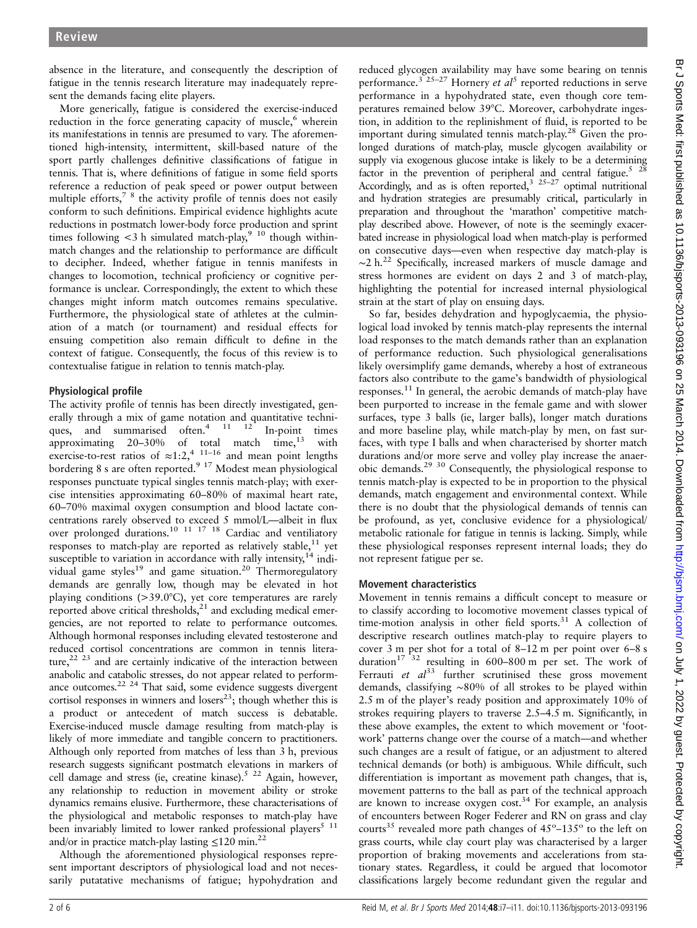absence in the literature, and consequently the description of fatigue in the tennis research literature may inadequately represent the demands facing elite players.

More generically, fatigue is considered the exercise-induced reduction in the force generating capacity of muscle,<sup>6</sup> wherein its manifestations in tennis are presumed to vary. The aforementioned high-intensity, intermittent, skill-based nature of the sport partly challenges definitive classifications of fatigue in tennis. That is, where definitions of fatigue in some field sports reference a reduction of peak speed or power output between multiple efforts,<sup>7</sup> <sup>8</sup> the activity profile of tennis does not easily conform to such definitions. Empirical evidence highlights acute reductions in postmatch lower-body force production and sprint times following  $\lt3$  h simulated match-play,<sup>9</sup> <sup>10</sup> though withinmatch changes and the relationship to performance are difficult to decipher. Indeed, whether fatigue in tennis manifests in changes to locomotion, technical proficiency or cognitive performance is unclear. Correspondingly, the extent to which these changes might inform match outcomes remains speculative. Furthermore, the physiological state of athletes at the culmination of a match (or tournament) and residual effects for ensuing competition also remain difficult to define in the context of fatigue. Consequently, the focus of this review is to contextualise fatigue in relation to tennis match-play.

## Physiological profile

The activity profile of tennis has been directly investigated, generally through a mix of game notation and quantitative techniques, and summarised often.<sup>4</sup> <sup>11</sup> <sup>12</sup> In-point times approximating  $20-30%$  of total match time, $^{13}$  with exercise-to-rest ratios of  $\approx$ 1:2,<sup>4 11–16</sup> and mean point lengths bordering 8 s are often reported.<sup>9 17</sup> Modest mean physiological responses punctuate typical singles tennis match-play; with exercise intensities approximating 60–80% of maximal heart rate, 60–70% maximal oxygen consumption and blood lactate concentrations rarely observed to exceed 5 mmol/L—albeit in flux over prolonged durations.<sup>10</sup> <sup>11</sup> <sup>17</sup> <sup>18</sup> Cardiac and ventiliatory responses to match-play are reported as relatively stable, $11$  yet susceptible to variation in accordance with rally intensity,  $14$  individual game styles<sup>19</sup> and game situation.<sup>20</sup> Thermoregulatory demands are genrally low, though may be elevated in hot playing conditions (>39.0°C), yet core temperatures are rarely reported above critical thresholds, $^{21}$  and excluding medical emergencies, are not reported to relate to performance outcomes. Although hormonal responses including elevated testosterone and reduced cortisol concentrations are common in tennis literature,<sup>22 23</sup> and are certainly indicative of the interaction between anabolic and catabolic stresses, do not appear related to performance outcomes.<sup>22 24</sup> That said, some evidence suggests divergent cortisol responses in winners and losers<sup>23</sup>; though whether this is a product or antecedent of match success is debatable. Exercise-induced muscle damage resulting from match-play is likely of more immediate and tangible concern to practitioners. Although only reported from matches of less than 3 h, previous research suggests significant postmatch elevations in markers of cell damage and stress (ie, creatine kinase).<sup>5 22</sup> Again, however, any relationship to reduction in movement ability or stroke dynamics remains elusive. Furthermore, these characterisations of the physiological and metabolic responses to match-play have been invariably limited to lower ranked professional players<sup>5</sup>  $11$ and/or in practice match-play lasting  $\leq 120$  min.<sup>22</sup>

Although the aforementioned physiological responses represent important descriptors of physiological load and not necessarily putatative mechanisms of fatigue; hypohydration and

reduced glycogen availability may have some bearing on tennis performance.<sup>3</sup> <sup>25-27</sup> Hornery *et al*<sup>5</sup> reported reductions in serve performance in a hypohydrated state, even though core temperatures remained below 39°C. Moreover, carbohydrate ingestion, in addition to the replinishment of fluid, is reported to be important during simulated tennis match-play.<sup>28</sup> Given the prolonged durations of match-play, muscle glycogen availability or supply via exogenous glucose intake is likely to be a determining factor in the prevention of peripheral and central fatigue.<sup>5</sup>  $^{28}$ Accordingly, and as is often reported,  $3^{25-27}$  optimal nutritional and hydration strategies are presumably critical, particularly in preparation and throughout the 'marathon' competitive matchplay described above. However, of note is the seemingly exacerbated increase in physiological load when match-play is performed on consecutive days—even when respective day match-play is  $\sim$ 2 h.<sup>22</sup> Specifically, increased markers of muscle damage and stress hormones are evident on days 2 and 3 of match-play, highlighting the potential for increased internal physiological strain at the start of play on ensuing days.

So far, besides dehydration and hypoglycaemia, the physiological load invoked by tennis match-play represents the internal load responses to the match demands rather than an explanation of performance reduction. Such physiological generalisations likely oversimplify game demands, whereby a host of extraneous factors also contribute to the game's bandwidth of physiological responses.11 In general, the aerobic demands of match-play have been purported to increase in the female game and with slower surfaces, type 3 balls (ie, larger balls), longer match durations and more baseline play, while match-play by men, on fast surfaces, with type I balls and when characterised by shorter match durations and/or more serve and volley play increase the anaerobic demands.29 30 Consequently, the physiological response to tennis match-play is expected to be in proportion to the physical demands, match engagement and environmental context. While there is no doubt that the physiological demands of tennis can be profound, as yet, conclusive evidence for a physiological/ metabolic rationale for fatigue in tennis is lacking. Simply, while these physiological responses represent internal loads; they do not represent fatigue per se.

## Movement characteristics

Movement in tennis remains a difficult concept to measure or to classify according to locomotive movement classes typical of time-motion analysis in other field sports.<sup>31</sup> A collection of descriptive research outlines match-play to require players to cover 3 m per shot for a total of 8–12 m per point over 6–8 s duration<sup>17 32</sup> resulting in 600–800 m per set. The work of Ferrauti et  $al^{33}$  further scrutinised these gross movement demands, classifying ∼80% of all strokes to be played within 2.5 m of the player's ready position and approximately 10% of strokes requiring players to traverse 2.5–4.5 m. Significantly, in these above examples, the extent to which movement or 'footwork' patterns change over the course of a match—and whether such changes are a result of fatigue, or an adjustment to altered technical demands (or both) is ambiguous. While difficult, such differentiation is important as movement path changes, that is, movement patterns to the ball as part of the technical approach are known to increase oxygen cost.<sup>34</sup> For example, an analysis of encounters between Roger Federer and RN on grass and clay courts<sup>35</sup> revealed more path changes of  $45^{\circ}$ – $135^{\circ}$  to the left on grass courts, while clay court play was characterised by a larger proportion of braking movements and accelerations from stationary states. Regardless, it could be argued that locomotor classifications largely become redundant given the regular and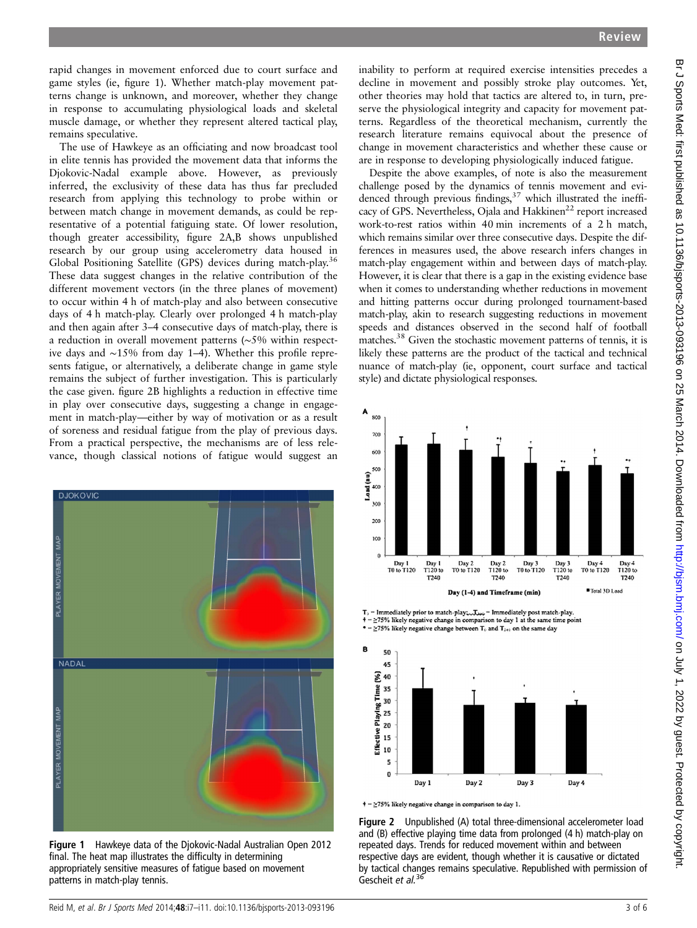rapid changes in movement enforced due to court surface and game styles (ie, figure 1). Whether match-play movement patterns change is unknown, and moreover, whether they change in response to accumulating physiological loads and skeletal muscle damage, or whether they represent altered tactical play, remains speculative.

The use of Hawkeye as an officiating and now broadcast tool in elite tennis has provided the movement data that informs the Djokovic-Nadal example above. However, as previously inferred, the exclusivity of these data has thus far precluded research from applying this technology to probe within or between match change in movement demands, as could be representative of a potential fatiguing state. Of lower resolution, though greater accessibility, figure 2A,B shows unpublished research by our group using accelerometry data housed in Global Positioning Satellite (GPS) devices during match-play.<sup>36</sup> These data suggest changes in the relative contribution of the different movement vectors (in the three planes of movement) to occur within 4 h of match-play and also between consecutive days of 4 h match-play. Clearly over prolonged 4 h match-play and then again after 3–4 consecutive days of match-play, there is a reduction in overall movement patterns (∼5% within respective days and ∼15% from day 1–4). Whether this profile represents fatigue, or alternatively, a deliberate change in game style remains the subject of further investigation. This is particularly the case given. figure 2B highlights a reduction in effective time in play over consecutive days, suggesting a change in engagement in match-play—either by way of motivation or as a result of soreness and residual fatigue from the play of previous days. From a practical perspective, the mechanisms are of less relevance, though classical notions of fatigue would suggest an



Figure 1 Hawkeye data of the Djokovic-Nadal Australian Open 2012 final. The heat map illustrates the difficulty in determining appropriately sensitive measures of fatigue based on movement patterns in match-play tennis.

inability to perform at required exercise intensities precedes a decline in movement and possibly stroke play outcomes. Yet, other theories may hold that tactics are altered to, in turn, preserve the physiological integrity and capacity for movement patterns. Regardless of the theoretical mechanism, currently the research literature remains equivocal about the presence of change in movement characteristics and whether these cause or are in response to developing physiologically induced fatigue.

Despite the above examples, of note is also the measurement challenge posed by the dynamics of tennis movement and evidenced through previous findings,<sup>37</sup> which illustrated the inefficacy of GPS. Nevertheless, Ojala and Hakkinen<sup>22</sup> report increased work-to-rest ratios within 40 min increments of a 2 h match, which remains similar over three consecutive days. Despite the differences in measures used, the above research infers changes in match-play engagement within and between days of match-play. However, it is clear that there is a gap in the existing evidence base when it comes to understanding whether reductions in movement and hitting patterns occur during prolonged tournament-based match-play, akin to research suggesting reductions in movement speeds and distances observed in the second half of football matches.<sup>38</sup> Given the stochastic movement patterns of tennis, it is likely these patterns are the product of the tactical and technical nuance of match-play (ie, opponent, court surface and tactical style) and dictate physiological responses.



 $\mathrm{T}_0 = \mathrm{Immediately}$  prior to match-play<br>coellately post match-play. = ≥75% likely negative change in comparison to day 1 at the same time min

 $\geq$ 75% likely negative change between T<sub>0</sub> and T<sub>240</sub> on the same day



 $\dagger$  =  $\geq$  75% likely negative change in comparison to day 1.

Figure 2 Unpublished (A) total three-dimensional accelerometer load and (B) effective playing time data from prolonged (4 h) match-play on repeated days. Trends for reduced movement within and between respective days are evident, though whether it is causative or dictated by tactical changes remains speculative. Republished with permission of Gescheit et al. $36$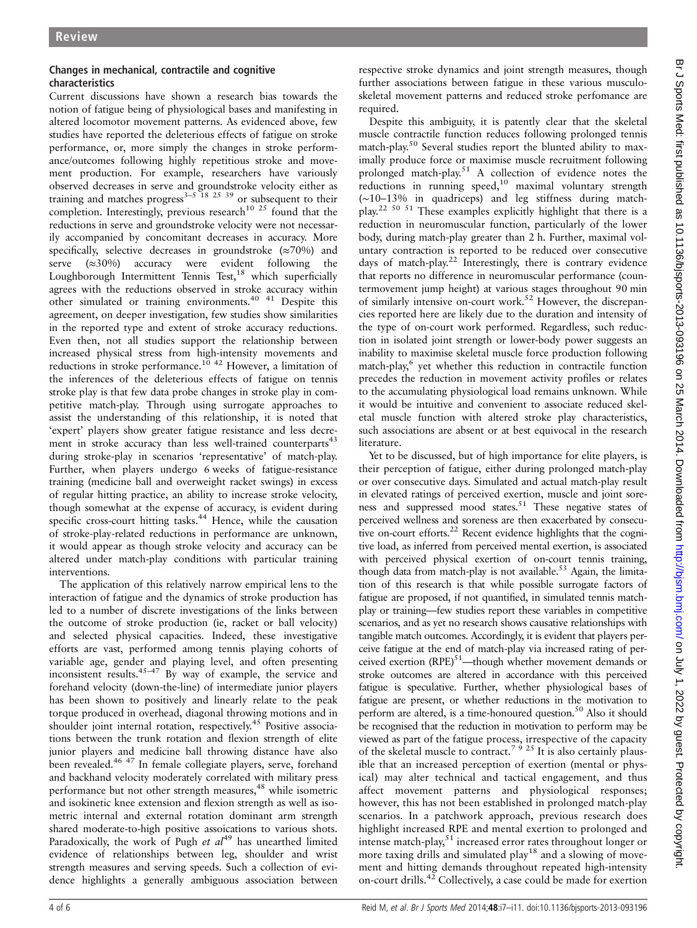## Changes in mechanical, contractile and cognitive characteristics

Current discussions have shown a research bias towards the notion of fatigue being of physiological bases and manifesting in altered locomotor movement patterns. As evidenced above, few studies have reported the deleterious effects of fatigue on stroke performance, or, more simply the changes in stroke performance/outcomes following highly repetitious stroke and movement production. For example, researchers have variously observed decreases in serve and groundstroke velocity either as training and matches progress<sup>3–5</sup><sup>18</sup><sup>25</sup><sup>39</sup> or subsequent to their completion. Interestingly, previous research<sup>10 25</sup> found that the reductions in serve and groundstroke velocity were not necessarily accompanied by concomitant decreases in accuracy. More specifically, selective decreases in groundstroke  $(\approx 70\%)$  and serve (≈30%) accuracy were evident following the Loughborough Intermittent Tennis Test,<sup>18</sup> which superficially agrees with the reductions observed in stroke accuracy within other simulated or training environments.40 41 Despite this agreement, on deeper investigation, few studies show similarities in the reported type and extent of stroke accuracy reductions. Even then, not all studies support the relationship between increased physical stress from high-intensity movements and reductions in stroke performance.<sup>10 42</sup> However, a limitation of the inferences of the deleterious effects of fatigue on tennis stroke play is that few data probe changes in stroke play in competitive match-play. Through using surrogate approaches to assist the understanding of this relationship, it is noted that 'expert' players show greater fatigue resistance and less decrement in stroke accuracy than less well-trained counterparts $43$ during stroke-play in scenarios 'representative' of match-play. Further, when players undergo 6 weeks of fatigue-resistance training (medicine ball and overweight racket swings) in excess of regular hitting practice, an ability to increase stroke velocity, though somewhat at the expense of accuracy, is evident during specific cross-court hitting tasks.<sup>44</sup> Hence, while the causation of stroke-play-related reductions in performance are unknown, it would appear as though stroke velocity and accuracy can be altered under match-play conditions with particular training interventions.

The application of this relatively narrow empirical lens to the interaction of fatigue and the dynamics of stroke production has led to a number of discrete investigations of the links between the outcome of stroke production (ie, racket or ball velocity) and selected physical capacities. Indeed, these investigative efforts are vast, performed among tennis playing cohorts of variable age, gender and playing level, and often presenting inconsistent results. $45-47$  By way of example, the service and forehand velocity (down-the-line) of intermediate junior players has been shown to positively and linearly relate to the peak torque produced in overhead, diagonal throwing motions and in shoulder joint internal rotation, respectively.<sup>45</sup> Positive associations between the trunk rotation and flexion strength of elite junior players and medicine ball throwing distance have also been revealed.46 47 In female collegiate players, serve, forehand and backhand velocity moderately correlated with military press performance but not other strength measures,<sup>48</sup> while isometric and isokinetic knee extension and flexion strength as well as isometric internal and external rotation dominant arm strength shared moderate-to-high positive assoications to various shots. Paradoxically, the work of Pugh et  $al^{49}$  has unearthed limited evidence of relationships between leg, shoulder and wrist strength measures and serving speeds. Such a collection of evidence highlights a generally ambiguous association between

respective stroke dynamics and joint strength measures, though further associations between fatigue in these various musculoskeletal movement patterns and reduced stroke perfomance are required.

Despite this ambiguity, it is patently clear that the skeletal muscle contractile function reduces following prolonged tennis match-play.<sup>50</sup> Several studies report the blunted ability to maximally produce force or maximise muscle recruitment following prolonged match-play.51 A collection of evidence notes the reductions in running speed,<sup>10</sup> maximal voluntary strength (∼10–13% in quadriceps) and leg stiffness during matchplay.22 50 51 These examples explicitly highlight that there is a reduction in neuromuscular function, particularly of the lower body, during match-play greater than 2 h. Further, maximal voluntary contraction is reported to be reduced over consecutive days of match-play.<sup>22</sup> Interestingly, there is contrary evidence that reports no difference in neuromuscular performance (countermovement jump height) at various stages throughout 90 min of similarly intensive on-court work.52 However, the discrepancies reported here are likely due to the duration and intensity of the type of on-court work performed. Regardless, such reduction in isolated joint strength or lower-body power suggests an inability to maximise skeletal muscle force production following  $match$ -play, $6$  yet whether this reduction in contractile function precedes the reduction in movement activity profiles or relates to the accumulating physiological load remains unknown. While it would be intuitive and convenient to associate reduced skeletal muscle function with altered stroke play characteristics, such associations are absent or at best equivocal in the research literature.

Yet to be discussed, but of high importance for elite players, is their perception of fatigue, either during prolonged match-play or over consecutive days. Simulated and actual match-play result in elevated ratings of perceived exertion, muscle and joint soreness and suppressed mood states.<sup>51</sup> These negative states of perceived wellness and soreness are then exacerbated by consecutive on-court efforts.<sup>22</sup> Recent evidence highlights that the cognitive load, as inferred from perceived mental exertion, is associated with perceived physical exertion of on-court tennis training, though data from match-play is not available.<sup>53</sup> Again, the limitation of this research is that while possible surrogate factors of fatigue are proposed, if not quantified, in simulated tennis matchplay or training—few studies report these variables in competitive scenarios, and as yet no research shows causative relationships with tangible match outcomes. Accordingly, it is evident that players perceive fatigue at the end of match-play via increased rating of perceived exertion  $(RPE)^{51}$ —though whether movement demands or stroke outcomes are altered in accordance with this perceived fatigue is speculative. Further, whether physiological bases of fatigue are present, or whether reductions in the motivation to perform are altered, is a time-honoured question.<sup>50</sup> Also it should be recognised that the reduction in motivation to perform may be viewed as part of the fatigue process, irrespective of the capacity of the skeletal muscle to contract.<sup>7 9</sup> <sup>25</sup> It is also certainly plausible that an increased perception of exertion (mental or physical) may alter technical and tactical engagement, and thus affect movement patterns and physiological responses; however, this has not been established in prolonged match-play scenarios. In a patchwork approach, previous research does highlight increased RPE and mental exertion to prolonged and intense match-play,<sup>51</sup> increased error rates throughout longer or more taxing drills and simulated play<sup>18</sup> and a slowing of movement and hitting demands throughout repeated high-intensity on-court drills.<sup>42</sup> Collectively, a case could be made for exertion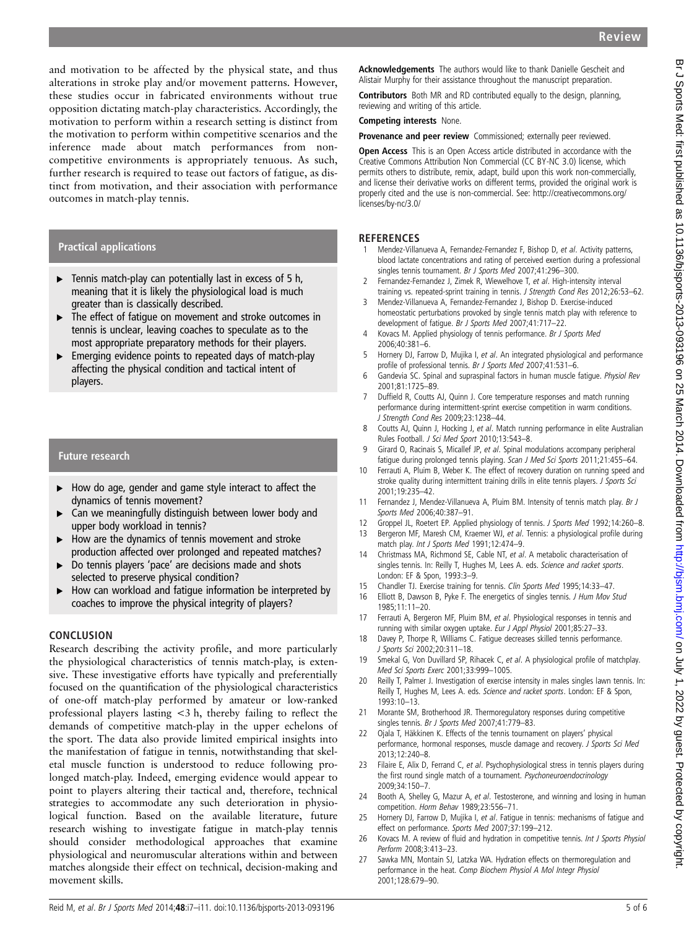and motivation to be affected by the physical state, and thus alterations in stroke play and/or movement patterns. However, these studies occur in fabricated environments without true opposition dictating match-play characteristics. Accordingly, the motivation to perform within a research setting is distinct from the motivation to perform within competitive scenarios and the inference made about match performances from noncompetitive environments is appropriately tenuous. As such, further research is required to tease out factors of fatigue, as distinct from motivation, and their association with performance outcomes in match-play tennis.

#### Practical applications

- $\blacktriangleright$  Tennis match-play can potentially last in excess of 5 h, meaning that it is likely the physiological load is much greater than is classically described.
- ▶ The effect of fatigue on movement and stroke outcomes in tennis is unclear, leaving coaches to speculate as to the most appropriate preparatory methods for their players.
- ▸ Emerging evidence points to repeated days of match-play affecting the physical condition and tactical intent of players.

## Future research

- ▸ How do age, gender and game style interact to affect the dynamics of tennis movement?
- ► Can we meaningfully distinguish between lower body and upper body workload in tennis?
- ▶ How are the dynamics of tennis movement and stroke production affected over prolonged and repeated matches?
- ▸ Do tennis players 'pace' are decisions made and shots selected to preserve physical condition?
- ▸ How can workload and fatigue information be interpreted by coaches to improve the physical integrity of players?

#### **CONCLUSION**

Research describing the activity profile, and more particularly the physiological characteristics of tennis match-play, is extensive. These investigative efforts have typically and preferentially focused on the quantification of the physiological characteristics of one-off match-play performed by amateur or low-ranked professional players lasting <3 h, thereby failing to reflect the demands of competitive match-play in the upper echelons of the sport. The data also provide limited empirical insights into the manifestation of fatigue in tennis, notwithstanding that skeletal muscle function is understood to reduce following prolonged match-play. Indeed, emerging evidence would appear to point to players altering their tactical and, therefore, technical strategies to accommodate any such deterioration in physiological function. Based on the available literature, future research wishing to investigate fatigue in match-play tennis should consider methodological approaches that examine physiological and neuromuscular alterations within and between matches alongside their effect on technical, decision-making and movement skills.

Acknowledgements The authors would like to thank Danielle Gescheit and Alistair Murphy for their assistance throughout the manuscript preparation.

Contributors Both MR and RD contributed equally to the design, planning, reviewing and writing of this article.

Competing interests None.

Provenance and peer review Commissioned; externally peer reviewed.

Open Access This is an Open Access article distributed in accordance with the Creative Commons Attribution Non Commercial (CC BY-NC 3.0) license, which permits others to distribute, remix, adapt, build upon this work non-commercially, and license their derivative works on different terms, provided the original work is properly cited and the use is non-commercial. See: [http://creativecommons.org/](http://creativecommons.org/licenses/by-nc/3.0/) [licenses/by-nc/3.0/](http://creativecommons.org/licenses/by-nc/3.0/)

#### **REFERENCES**

- 1 Mendez-Villanueva A, Fernandez-Fernandez F, Bishop D, et al. Activity patterns, blood lactate concentrations and rating of perceived exertion during a professional singles tennis tournament. Br J Sports Med 2007;41:296–300.
- 2 Fernandez-Fernandez J, Zimek R, Wiewelhove T, et al. High-intensity interval training vs. repeated-sprint training in tennis. J Strength Cond Res 2012;26:53–62.
- 3 Mendez-Villanueva A, Fernandez-Fernandez J, Bishop D. Exercise-induced homeostatic perturbations provoked by single tennis match play with reference to development of fatigue. Br J Sports Med 2007;41:717–22.
- 4 Kovacs M. Applied physiology of tennis performance. Br J Sports Med 2006;40:381–6.
- 5 Hornery DJ, Farrow D, Mujika I, et al. An integrated physiological and performance profile of professional tennis. Br J Sports Med 2007;41:531-6.
- 6 Gandevia SC. Spinal and supraspinal factors in human muscle fatigue. Physiol Rev 2001;81:1725–89.
- 7 Duffield R, Coutts AJ, Quinn J. Core temperature responses and match running performance during intermittent-sprint exercise competition in warm conditions. J Strength Cond Res 2009;23:1238–44.
- 8 Coutts AJ, Quinn J, Hocking J, et al. Match running performance in elite Australian Rules Football. J Sci Med Sport 2010;13:543–8.
- 9 Girard O, Racinais S, Micallef JP, et al. Spinal modulations accompany peripheral fatigue during prolonged tennis playing. Scan J Med Sci Sports 2011;21:455-64.
- 10 Ferrauti A, Pluim B, Weber K. The effect of recovery duration on running speed and stroke quality during intermittent training drills in elite tennis players. J Sports Sci 2001;19:235–42.
- 11 Fernandez J, Mendez-Villanueva A, Pluim BM. Intensity of tennis match play. Br J Sports Med 2006;40:387–91.
- 12 Groppel JL, Roetert EP. Applied physiology of tennis. J Sports Med 1992;14:260–8.
- 13 Bergeron MF, Maresh CM, Kraemer WJ, et al. Tennis: a physiological profile during match play. Int J Sports Med 1991;12:474–9.
- 14 Christmass MA, Richmond SE, Cable NT, et al. A metabolic characterisation of singles tennis. In: Reilly T, Hughes M, Lees A. eds. Science and racket sports. London: EF & Spon, 1993:3–9.
- 15 Chandler TJ. Exercise training for tennis. Clin Sports Med 1995;14:33–47.
- 16 Elliott B, Dawson B, Pyke F. The energetics of singles tennis. J Hum Mov Stud 1985;11:11–20.
- 17 Ferrauti A, Bergeron MF, Pluim BM, et al. Physiological responses in tennis and running with similar oxygen uptake. Eur J Appl Physiol 2001;85:27–33.
- 18 Davey P, Thorpe R, Williams C. Fatigue decreases skilled tennis performance. J Sports Sci 2002;20:311–18.
- 19 Smekal G, Von Duvillard SP, Rihacek C, et al. A physiological profile of matchplay. Med Sci Sports Exerc 2001;33:999–1005.
- 20 Reilly T, Palmer J. Investigation of exercise intensity in males singles lawn tennis. In: Reilly T, Hughes M, Lees A. eds. Science and racket sports. London: EF & Spon, 1993:10–13.
- 21 Morante SM, Brotherhood JR. Thermoregulatory responses during competitive singles tennis. Br J Sports Med 2007;41:779-83.
- 22 Ojala T, Häkkinen K. Effects of the tennis tournament on players' physical performance, hormonal responses, muscle damage and recovery. J Sports Sci Med 2013;12:240–8.
- 23 Filaire E, Alix D, Ferrand C, et al. Psychophysiological stress in tennis players during the first round single match of a tournament. Psychoneuroendocrinology 2009;34:150–7.
- 24 Booth A, Shelley G, Mazur A, et al. Testosterone, and winning and losing in human competition. Horm Behav 1989;23:556–71.
- 25 Hornery DJ, Farrow D, Mujika I, et al. Fatigue in tennis: mechanisms of fatigue and effect on performance. Sports Med 2007;37:199–212.
- 26 Kovacs M. A review of fluid and hydration in competitive tennis. Int J Sports Physiol Perform 2008;3:413–23.
- 27 Sawka MN, Montain SJ, Latzka WA. Hydration effects on thermoregulation and performance in the heat. Comp Biochem Physiol A Mol Integr Physiol 2001;128:679–90.